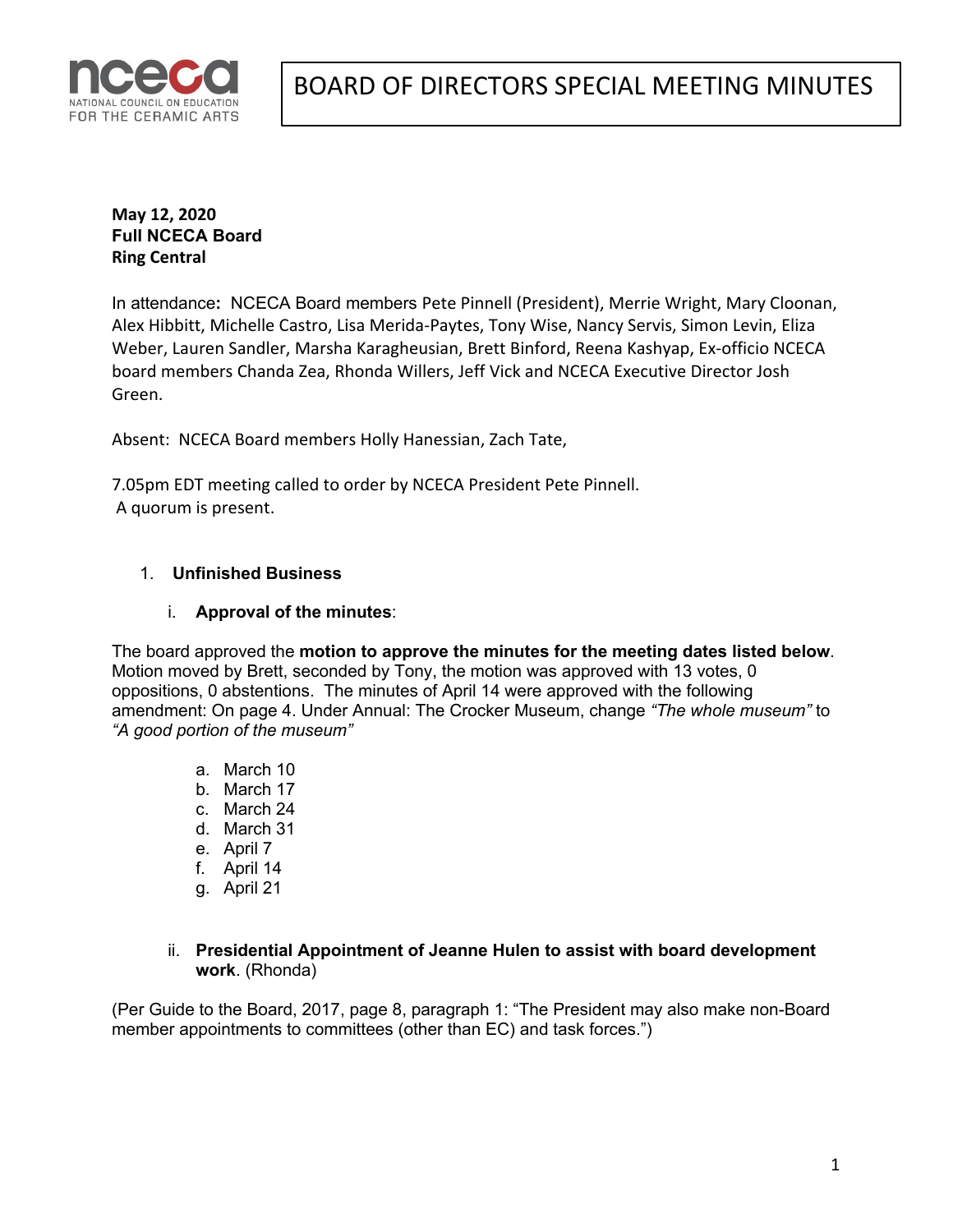

**May 12, 2020 Full NCECA Board Ring Central**

In attendance**:** NCECA Board members Pete Pinnell (President), Merrie Wright, Mary Cloonan, Alex Hibbitt, Michelle Castro, Lisa Merida-Paytes, Tony Wise, Nancy Servis, Simon Levin, Eliza Weber, Lauren Sandler, Marsha Karagheusian, Brett Binford, Reena Kashyap, Ex-officio NCECA board members Chanda Zea, Rhonda Willers, Jeff Vick and NCECA Executive Director Josh Green.

Absent: NCECA Board members Holly Hanessian, Zach Tate,

7.05pm EDT meeting called to order by NCECA President Pete Pinnell. A quorum is present.

## 1. **Unfinished Business**

#### i. **Approval of the minutes**:

The board approved the **motion to approve the minutes for the meeting dates listed below**. Motion moved by Brett, seconded by Tony, the motion was approved with 13 votes, 0 oppositions, 0 abstentions. The minutes of April 14 were approved with the following amendment: On page 4. Under Annual: The Crocker Museum, change *"The whole museum"* to *"A good portion of the museum"*

- a. March 10
- b. March 17
- c. March 24
- d. March 31
- e. April 7
- f. April 14
- g. April 21
- ii. **Presidential Appointment of Jeanne Hulen to assist with board development work**. (Rhonda)

(Per Guide to the Board, 2017, page 8, paragraph 1: "The President may also make non-Board member appointments to committees (other than EC) and task forces.")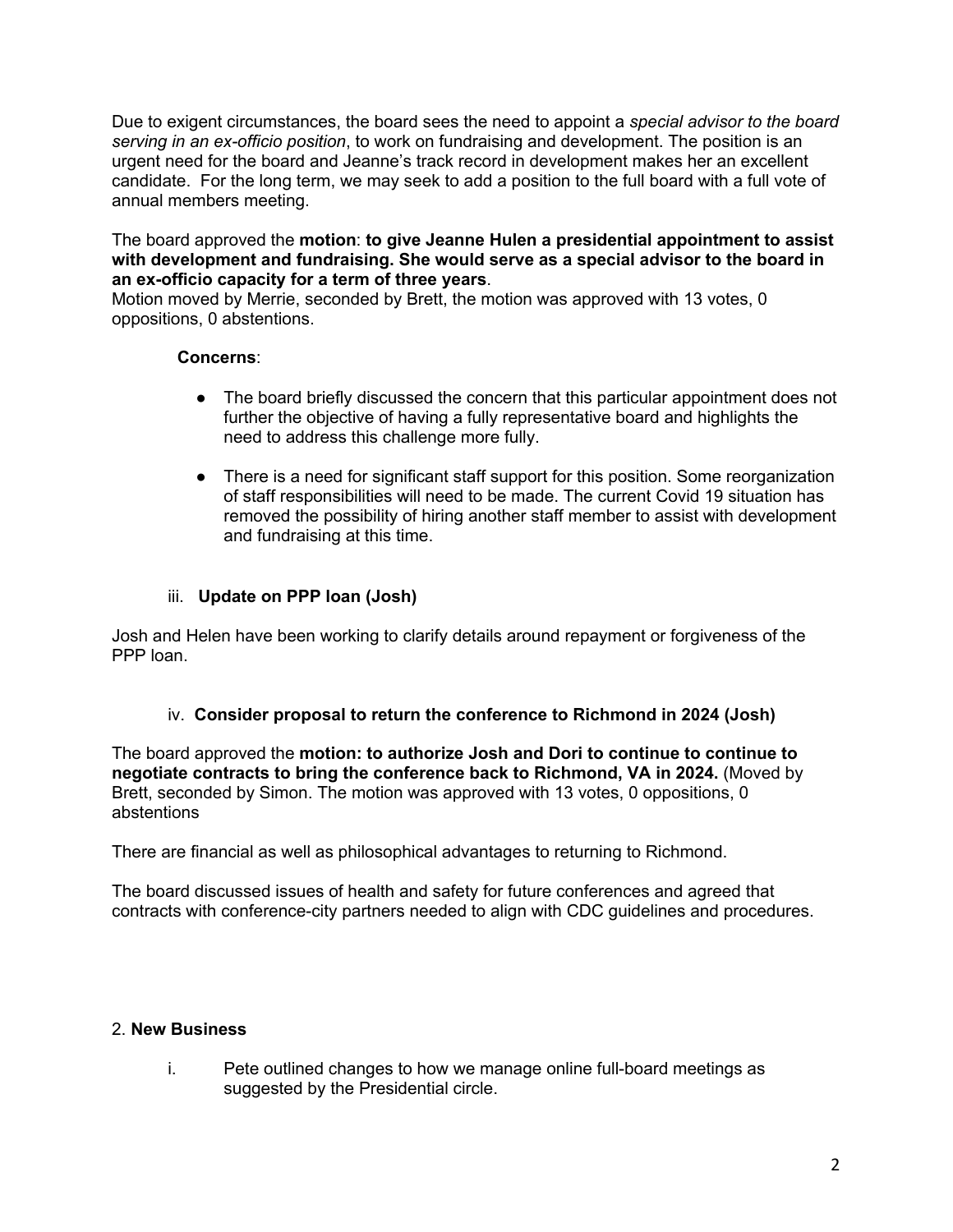Due to exigent circumstances, the board sees the need to appoint a *special advisor to the board serving in an ex-officio position*, to work on fundraising and development. The position is an urgent need for the board and Jeanne's track record in development makes her an excellent candidate. For the long term, we may seek to add a position to the full board with a full vote of annual members meeting.

#### The board approved the **motion**: **to give Jeanne Hulen a presidential appointment to assist with development and fundraising. She would serve as a special advisor to the board in an ex-officio capacity for a term of three years**.

Motion moved by Merrie, seconded by Brett, the motion was approved with 13 votes, 0 oppositions, 0 abstentions.

#### **Concerns**:

- The board briefly discussed the concern that this particular appointment does not further the objective of having a fully representative board and highlights the need to address this challenge more fully.
- There is a need for significant staff support for this position. Some reorganization of staff responsibilities will need to be made. The current Covid 19 situation has removed the possibility of hiring another staff member to assist with development and fundraising at this time.

## iii. **Update on PPP loan (Josh)**

Josh and Helen have been working to clarify details around repayment or forgiveness of the PPP loan.

## iv. **Consider proposal to return the conference to Richmond in 2024 (Josh)**

The board approved the **motion: to authorize Josh and Dori to continue to continue to negotiate contracts to bring the conference back to Richmond, VA in 2024.** (Moved by Brett, seconded by Simon. The motion was approved with 13 votes, 0 oppositions, 0 abstentions

There are financial as well as philosophical advantages to returning to Richmond.

The board discussed issues of health and safety for future conferences and agreed that contracts with conference-city partners needed to align with CDC guidelines and procedures.

## 2. **New Business**

i. Pete outlined changes to how we manage online full-board meetings as suggested by the Presidential circle.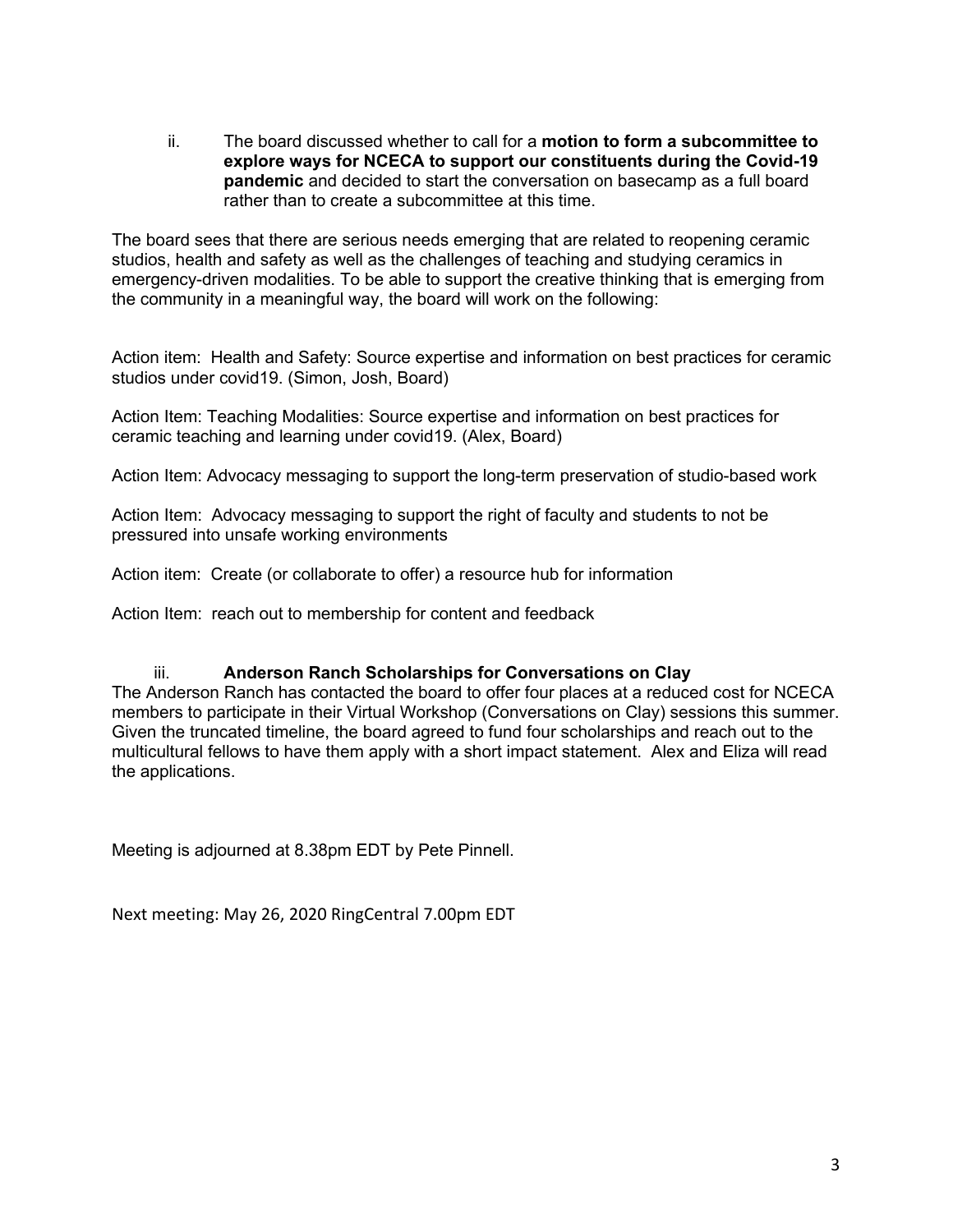ii. The board discussed whether to call for a **motion to form a subcommittee to explore ways for NCECA to support our constituents during the Covid-19 pandemic** and decided to start the conversation on basecamp as a full board rather than to create a subcommittee at this time.

The board sees that there are serious needs emerging that are related to reopening ceramic studios, health and safety as well as the challenges of teaching and studying ceramics in emergency-driven modalities. To be able to support the creative thinking that is emerging from the community in a meaningful way, the board will work on the following:

Action item: Health and Safety: Source expertise and information on best practices for ceramic studios under covid19. (Simon, Josh, Board)

Action Item: Teaching Modalities: Source expertise and information on best practices for ceramic teaching and learning under covid19. (Alex, Board)

Action Item: Advocacy messaging to support the long-term preservation of studio-based work

Action Item: Advocacy messaging to support the right of faculty and students to not be pressured into unsafe working environments

Action item: Create (or collaborate to offer) a resource hub for information

Action Item: reach out to membership for content and feedback

#### iii. **Anderson Ranch Scholarships for Conversations on Clay**

The Anderson Ranch has contacted the board to offer four places at a reduced cost for NCECA members to participate in their Virtual Workshop (Conversations on Clay) sessions this summer. Given the truncated timeline, the board agreed to fund four scholarships and reach out to the multicultural fellows to have them apply with a short impact statement. Alex and Eliza will read the applications.

Meeting is adjourned at 8.38pm EDT by Pete Pinnell.

Next meeting: May 26, 2020 RingCentral 7.00pm EDT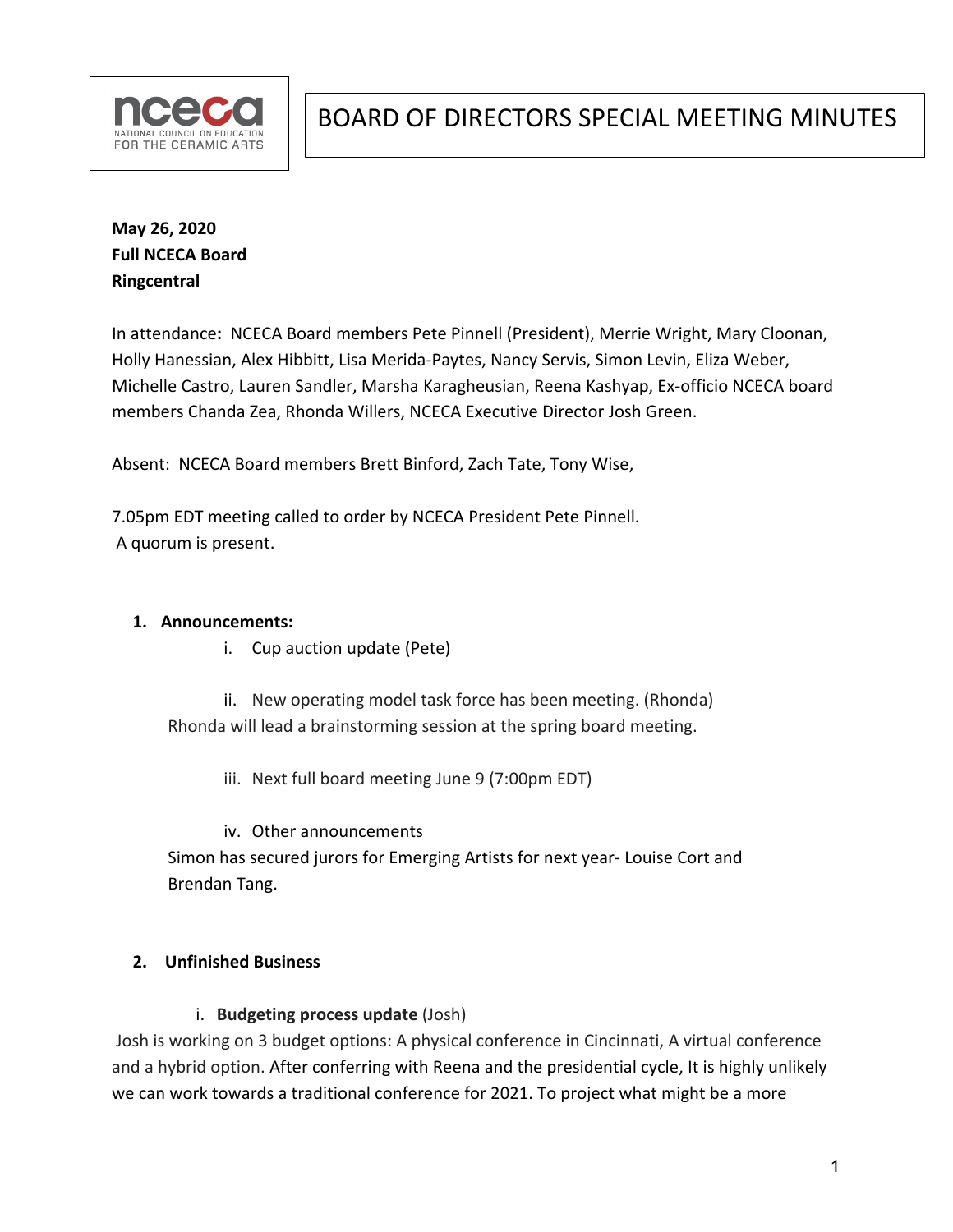

**May 26, 2020 Full NCECA Board Ringcentral**

In attendance**:** NCECA Board members Pete Pinnell (President), Merrie Wright, Mary Cloonan, Holly Hanessian, Alex Hibbitt, Lisa Merida-Paytes, Nancy Servis, Simon Levin, Eliza Weber, Michelle Castro, Lauren Sandler, Marsha Karagheusian, Reena Kashyap, Ex-officio NCECA board members Chanda Zea, Rhonda Willers, NCECA Executive Director Josh Green.

Absent: NCECA Board members Brett Binford, Zach Tate, Tony Wise,

7.05pm EDT meeting called to order by NCECA President Pete Pinnell. A quorum is present.

#### **1. Announcements:**

i. Cup auction update (Pete)

ii. New operating model task force has been meeting. (Rhonda) Rhonda will lead a brainstorming session at the spring board meeting.

iii. Next full board meeting June 9 (7:00pm EDT)

iv. Other announcements Simon has secured jurors for Emerging Artists for next year- Louise Cort and Brendan Tang.

## **2. Unfinished Business**

i. **Budgeting process update** (Josh)

Josh is working on 3 budget options: A physical conference in Cincinnati, A virtual conference and a hybrid option. After conferring with Reena and the presidential cycle, It is highly unlikely we can work towards a traditional conference for 2021. To project what might be a more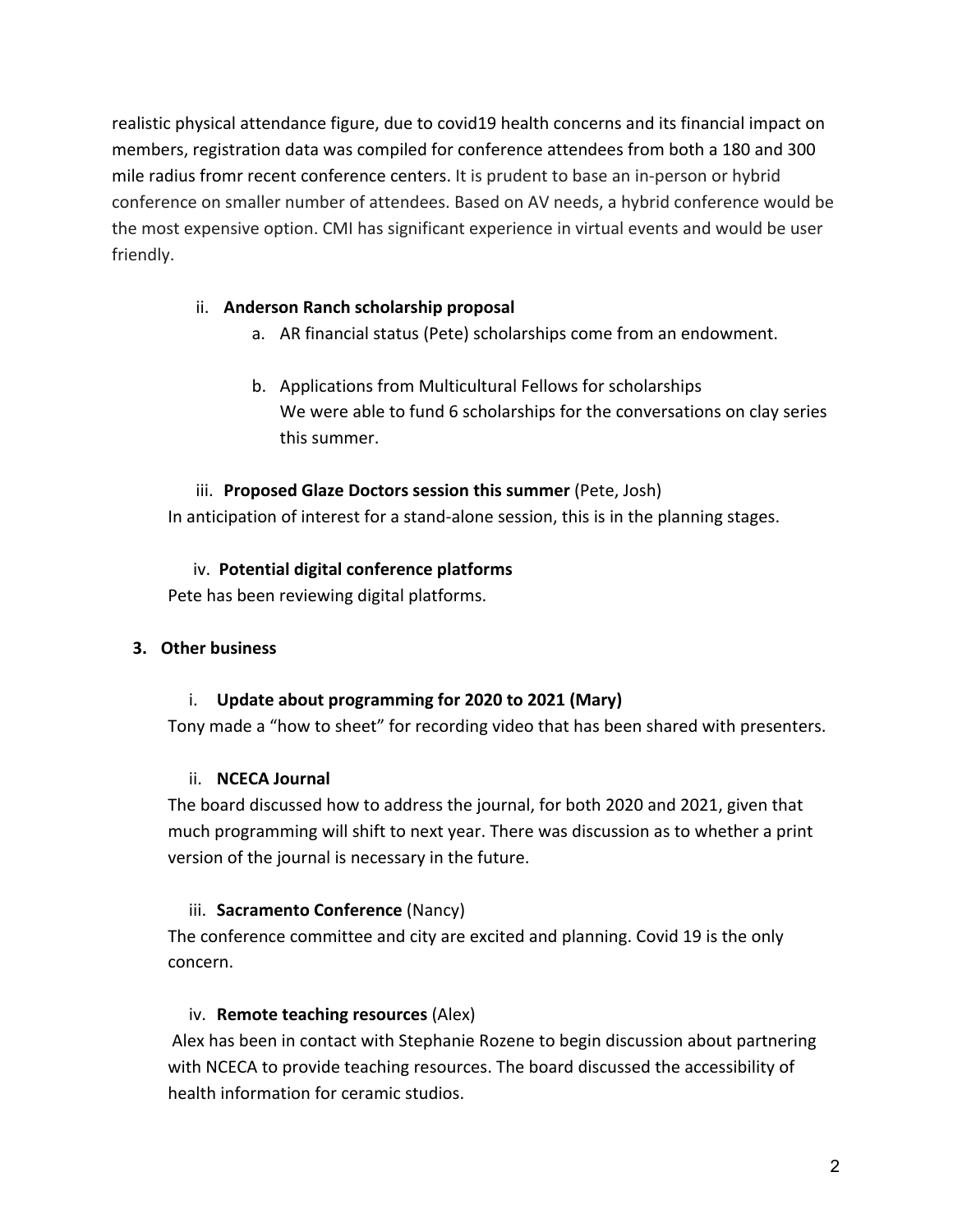realistic physical attendance figure, due to covid19 health concerns and its financial impact on members, registration data was compiled for conference attendees from both a 180 and 300 mile radius fromr recent conference centers. It is prudent to base an in-person or hybrid conference on smaller number of attendees. Based on AV needs, a hybrid conference would be the most expensive option. CMI has significant experience in virtual events and would be user friendly.

## ii. **Anderson Ranch scholarship proposal**

- a. AR financial status (Pete) scholarships come from an endowment.
- b. Applications from Multicultural Fellows for scholarships We were able to fund 6 scholarships for the conversations on clay series this summer.

## iii. **Proposed Glaze Doctors session this summer** (Pete, Josh)

In anticipation of interest for a stand-alone session, this is in the planning stages.

## iv. **Potential digital conference platforms**

Pete has been reviewing digital platforms.

# **3. Other business**

# i. **Update about programming for 2020 to 2021 (Mary)**

Tony made a "how to sheet" for recording video that has been shared with presenters.

# ii. **NCECA Journal**

The board discussed how to address the journal, for both 2020 and 2021, given that much programming will shift to next year. There was discussion as to whether a print version of the journal is necessary in the future.

# iii. **Sacramento Conference** (Nancy)

The conference committee and city are excited and planning. Covid 19 is the only concern.

# iv. **Remote teaching resources** (Alex)

Alex has been in contact with Stephanie Rozene to begin discussion about partnering with NCECA to provide teaching resources. The board discussed the accessibility of health information for ceramic studios.